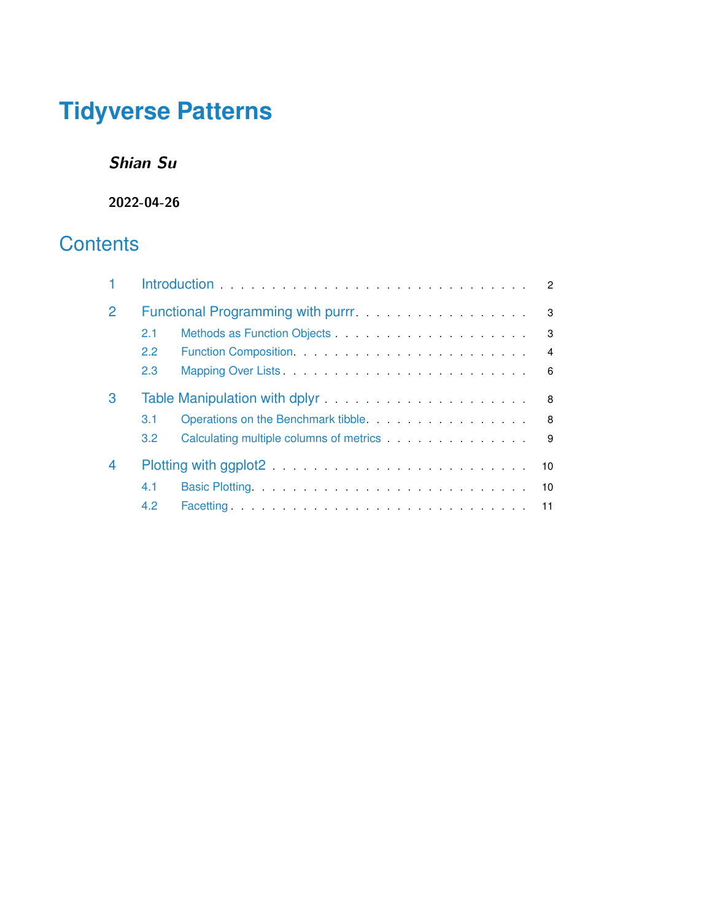# **Tidyverse Patterns**

**Shian Su**

**2022-04-26**

# **Contents**

| 2              |               |                                                                                                                | 3              |
|----------------|---------------|----------------------------------------------------------------------------------------------------------------|----------------|
|                | 2.1           |                                                                                                                | 3              |
|                | 2.2           |                                                                                                                | $\overline{4}$ |
|                | 2.3           |                                                                                                                | 6              |
| 3              |               | Table Manipulation with dplyr entertainment and the Manipulation with dplyr entertainment and the Manipulation | 8              |
|                | 3.1           | Operations on the Benchmark tibble.                                                                            | 8              |
|                | $3.2^{\circ}$ |                                                                                                                | 9              |
| $\overline{4}$ |               |                                                                                                                |                |
|                | 4.1           | 10                                                                                                             |                |
|                | 4.2           |                                                                                                                |                |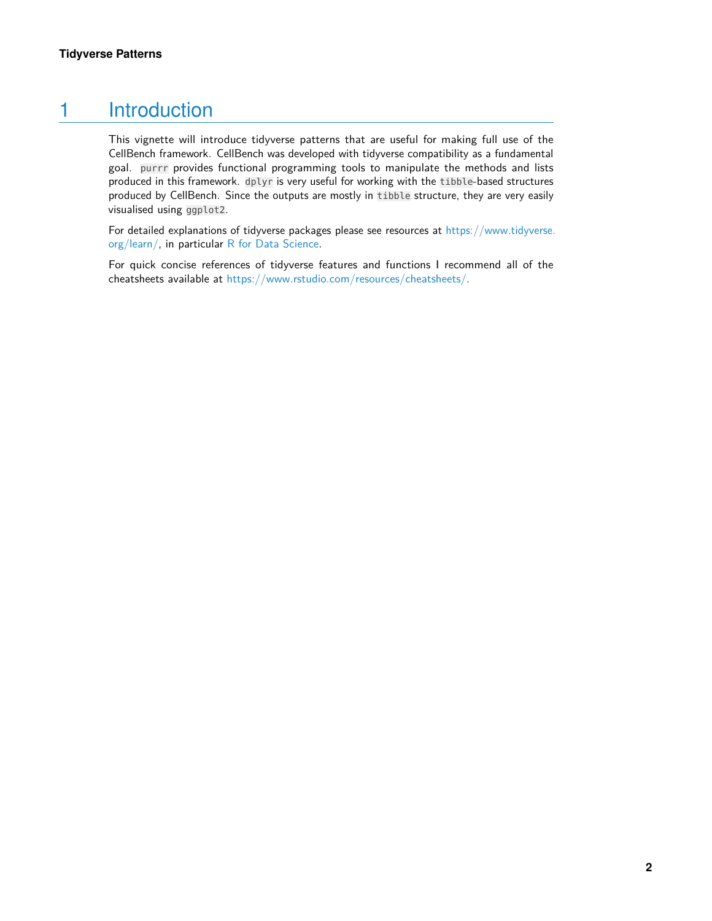# 1 Introduction

<span id="page-1-0"></span>This vignette will introduce tidyverse patterns that are useful for making full use of the CellBench framework. CellBench was developed with tidyverse compatibility as a fundamental goal. purrr provides functional programming tools to manipulate the methods and lists produced in this framework. dplyr is very useful for working with the tibble-based structures produced by CellBench. Since the outputs are mostly in tibble structure, they are very easily visualised using ggplot2.

For detailed explanations of tidyverse packages please see resources at [https://www.tidyverse.](https://www.tidyverse.org/learn/) [org/learn/,](https://www.tidyverse.org/learn/) in particular [R for Data Science.](https://r4ds.had.co.nz)

For quick concise references of tidyverse features and functions I recommend all of the cheatsheets available at [https://www.rstudio.com/resources/cheatsheets/.](https://www.rstudio.com/resources/cheatsheets/)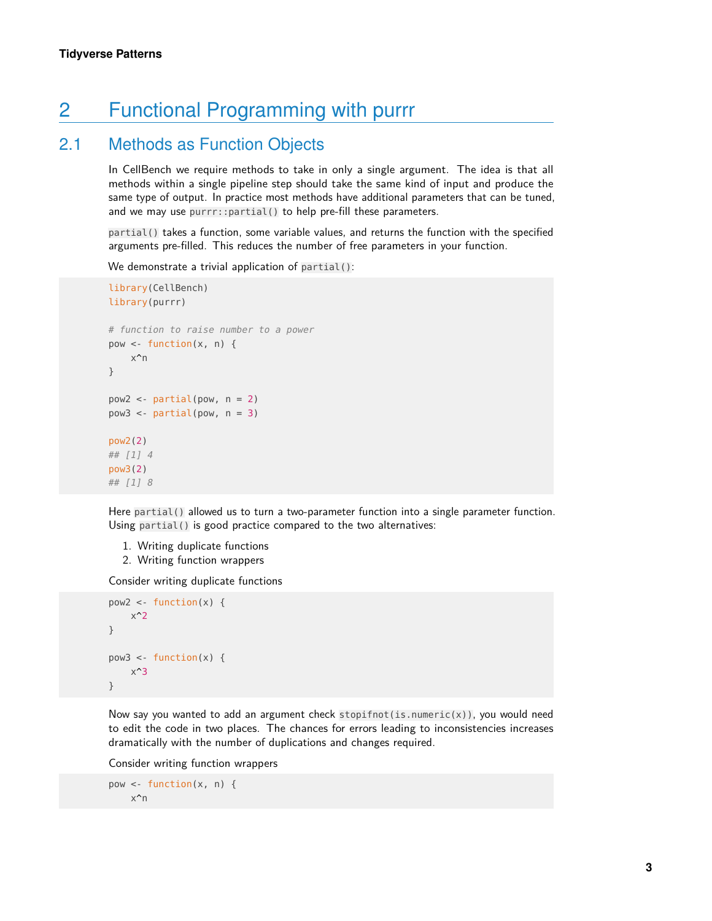# <span id="page-2-0"></span>2 Functional Programming with purrr

### 2.1 Methods as Function Objects

<span id="page-2-1"></span>In CellBench we require methods to take in only a single argument. The idea is that all methods within a single pipeline step should take the same kind of input and produce the same type of output. In practice most methods have additional parameters that can be tuned, and we may use purrr::partial() to help pre-fill these parameters.

partial() takes a function, some variable values, and returns the function with the specified arguments pre-filled. This reduces the number of free parameters in your function.

We demonstrate a trivial application of partial():

```
library(CellBench)
library(purrr)
# function to raise number to a power
pow \leq- function(x, n) {
    x^n
}
pow2 \leq -partial(pow, n = 2)pow3 < -partial partial(pow, n = 3)
pow2(2)
## [1] 4
pow3(2)
## [1] 8
```
Here partial() allowed us to turn a two-parameter function into a single parameter function. Using partial() is good practice compared to the two alternatives:

- 1. Writing duplicate functions
- 2. Writing function wrappers

Consider writing duplicate functions

```
pow2 < - function(x) {
    x^2}
pow3 < - function(x) {
    x^3
}
```
Now say you wanted to add an argument check stopifnot(is.numeric(x)), you would need to edit the code in two places. The chances for errors leading to inconsistencies increases dramatically with the number of duplications and changes required.

Consider writing function wrappers

 $pow < -$  function(x, n) { x^n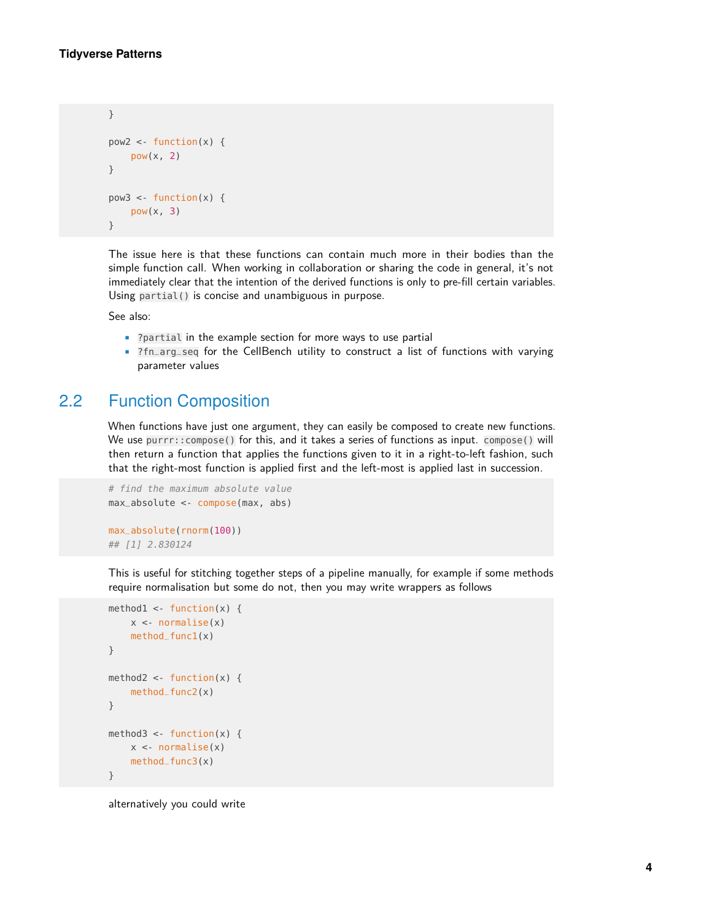```
}
pow2 < - function(x) {
    pow(x, 2)}
pow3 < - function(x) {
    pow(x, 3)}
```
The issue here is that these functions can contain much more in their bodies than the simple function call. When working in collaboration or sharing the code in general, it's not immediately clear that the intention of the derived functions is only to pre-fill certain variables. Using partial() is concise and unambiguous in purpose.

See also:

- ?partial in the example section for more ways to use partial
- <span id="page-3-0"></span>• ?fn\_arg\_seq for the CellBench utility to construct a list of functions with varying parameter values

### 2.2 Function Composition

When functions have just one argument, they can easily be composed to create new functions. We use purrr::compose() for this, and it takes a series of functions as input. compose() will then return a function that applies the functions given to it in a right-to-left fashion, such that the right-most function is applied first and the left-most is applied last in succession.

```
# find the maximum absolute value
max_absolute <- compose(max, abs)
max_absolute(rnorm(100))
## [1] 2.830124
```
This is useful for stitching together steps of a pipeline manually, for example if some methods require normalisation but some do not, then you may write wrappers as follows

```
method1 <- function(x) {
    x \leq -normalise(x)method_func1(x)}
method2 <- function(x) {
    method_func2(x)
}
method3 <- function(x) {
    x < - normalise(x)
    method_func3(x)
}
```
alternatively you could write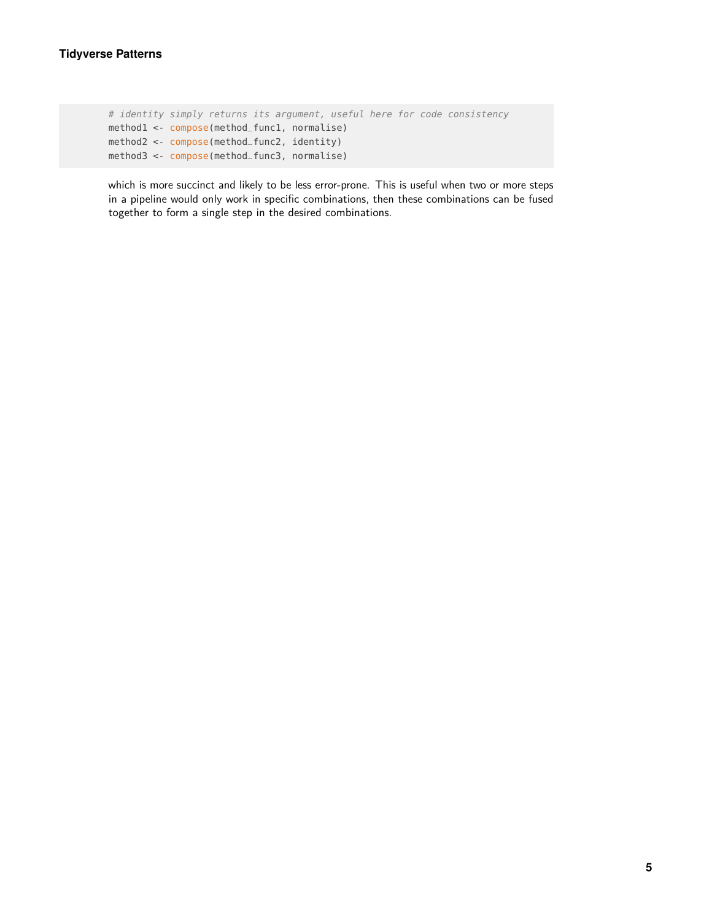```
# identity simply returns its argument, useful here for code consistency
method1 <- compose(method_func1, normalise)
method2 <- compose(method_func2, identity)
method3 <- compose(method_func3, normalise)
```
which is more succinct and likely to be less error-prone. This is useful when two or more steps in a pipeline would only work in specific combinations, then these combinations can be fused together to form a single step in the desired combinations.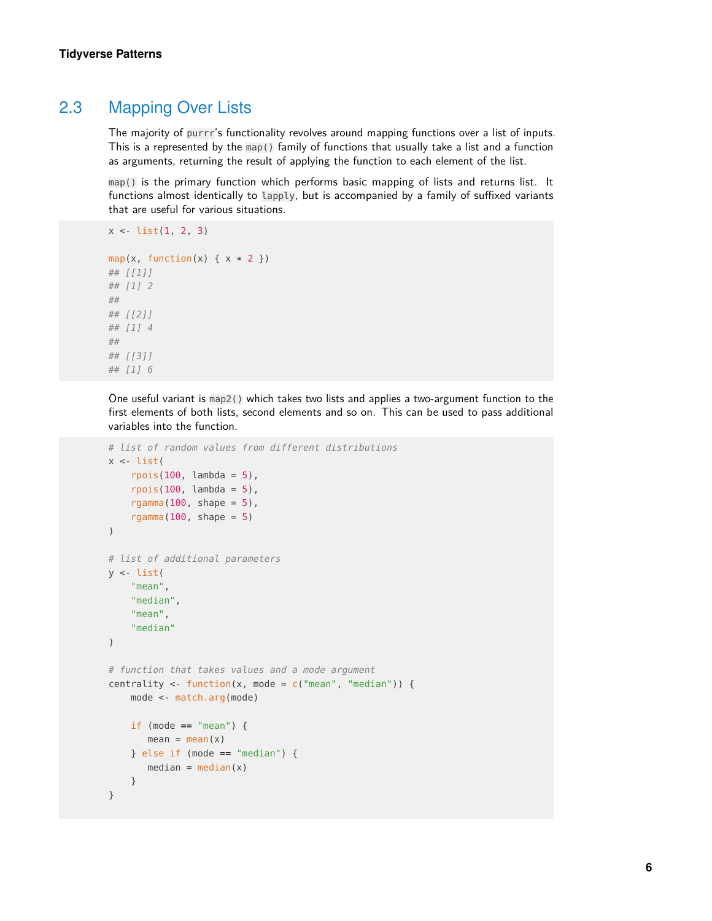### 2.3 Mapping Over Lists

 $x \le -\text{list}(1, 2, 3)$ 

<span id="page-5-0"></span>The majority of purrr's functionality revolves around mapping functions over a list of inputs. This is a represented by the map() family of functions that usually take a list and a function as arguments, returning the result of applying the function to each element of the list.

map() is the primary function which performs basic mapping of lists and returns list. It functions almost identically to lapply, but is accompanied by a family of suffixed variants that are useful for various situations.

```
map(x, function(x) { x * 2 })
## [[1]]
## [1] 2
##
## [[2]]
## [1] 4
##
## [[3]]
## [1] 6
```
One useful variant is map2() which takes two lists and applies a two-argument function to the first elements of both lists, second elements and so on. This can be used to pass additional variables into the function.

```
# list of random values from different distributions
x \le -\text{list}(x)rpois(100, lambda = 5),
    rpois(100, lambda = 5),
    rgamma(100, shape = 5),
    rgamma(100, shape = 5)
)
# list of additional parameters
y <- list(
    "mean",
    "median",
    "mean",
    "median"
)
# function that takes values and a mode argument
centrality <- function(x, mode = c("mean", "median")) {
    mode <- match.arg(mode)
    if (mode == "mean") {
       mean = mean(x)} else if (mode == "median") {
       median = median(x)}
}
```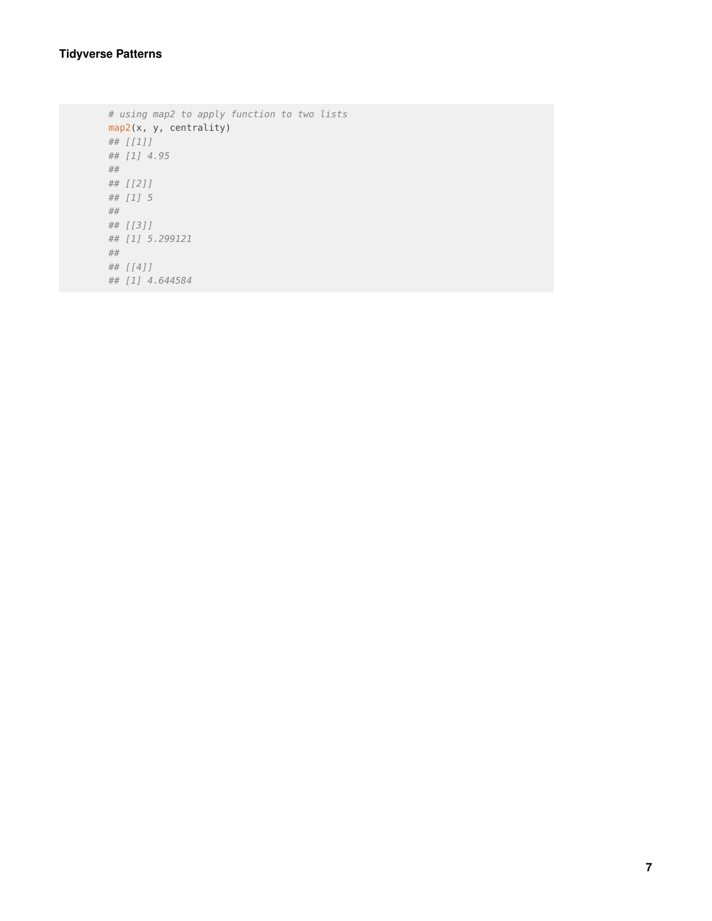#### **Tidyverse Patterns**

# using map2 to apply function to two lists map2(x, y, centrality) ## [[1]] ## [1] 4.95 ## ## [[2]] ## [1] 5 ## ## [[3]] ## [1] 5.299121 ## ## [[4]] ## [1] 4.644584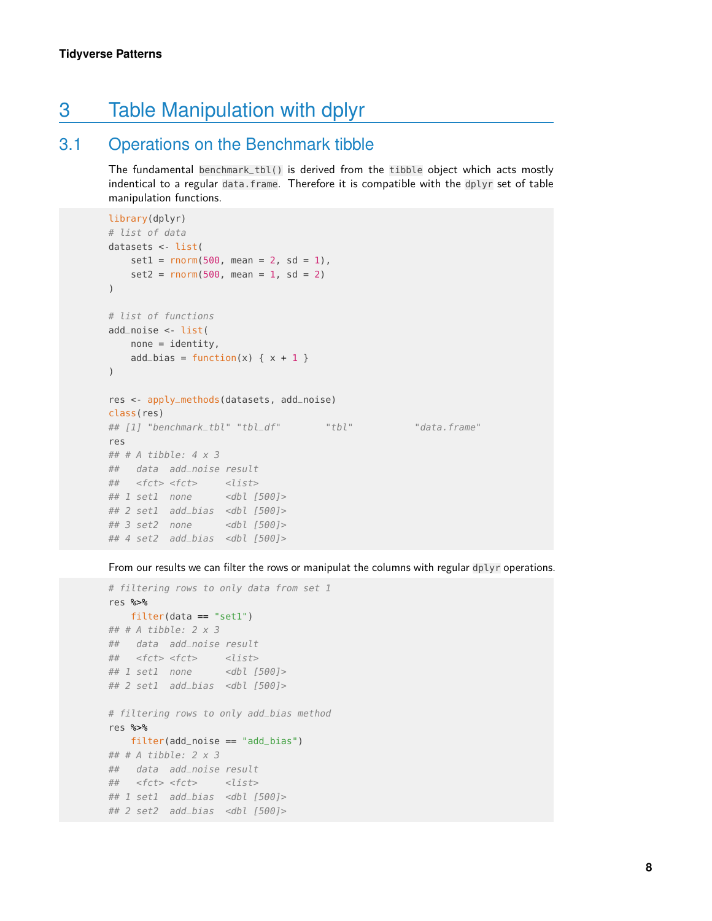# <span id="page-7-0"></span>3 Table Manipulation with dplyr

### 3.1 Operations on the Benchmark tibble

<span id="page-7-1"></span>The fundamental benchmark\_tbl() is derived from the tibble object which acts mostly indentical to a regular data.frame. Therefore it is compatible with the dplyr set of table manipulation functions.

```
library(dplyr)
# list of data
datasets <- list(
   set1 = rnorm(500, mean = 2, sd = 1),set2 = rnorm(500, mean = 1, sd = 2))
# list of functions
add_noise <- list(
   none = identity,add\_bias = function(x) { x + 1 })
res <- apply_methods(datasets, add_noise)
class(res)
## [1] "benchmark_tbl" "tbl_df" "tbl" "tbl" "data.frame"
res
## # A tibble: 4 x 3
## data add_noise result
## <fct> <fct> <list>
## 1 set1 none <dbl [500]>
## 2 set1 add_bias <dbl [500]>
## 3 set2 none <dbl [500]>
## 4 set2 add_bias <dbl [500]>
```
From our results we can filter the rows or manipulat the columns with regular dplyr operations.

```
# filtering rows to only data from set 1
res %>%
   filter(data == "set1")
## # A tibble: 2 x 3
## data add_noise result
## <fct> <fct> <list>
## 1 set1 none <dbl [500]>
## 2 set1 add_bias <dbl [500]>
# filtering rows to only add_bias method
res %>%
   filter(add_noise == "add_bias")
## # A tibble: 2 x 3
## data add_noise result
## <fct> <fct> <list>
## 1 set1 add_bias <dbl [500]>
## 2 set2 add_bias <dbl [500]>
```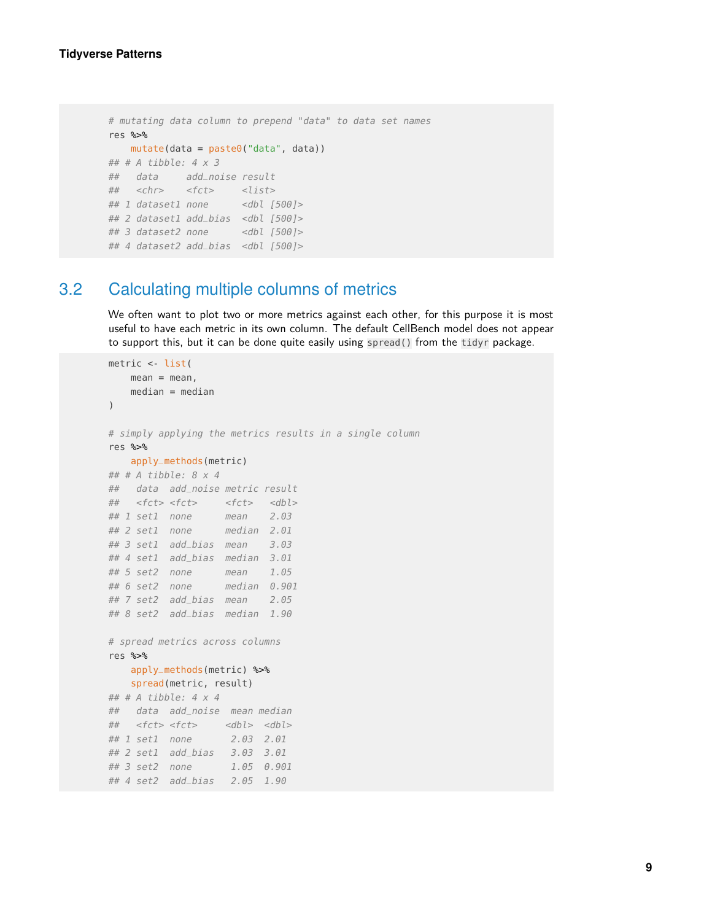```
# mutating data column to prepend "data" to data set names
res %>%
   mutate(data = paste0("data", data))
## # A tibble: 4 \times 3## data add_noise result
## <chr> <fct> <list>
## 1 dataset1 none <dbl [500]>
## 2 dataset1 add_bias <dbl [500]>
## 3 dataset2 none <dbl [500]>
## 4 dataset2 add_bias <dbl [500]>
```
### 3.2 Calculating multiple columns of metrics

<span id="page-8-0"></span>We often want to plot two or more metrics against each other, for this purpose it is most useful to have each metric in its own column. The default CellBench model does not appear to support this, but it can be done quite easily using spread() from the tidyr package.

```
metric <- list(
   mean = mean,
   median = median)
# simply applying the metrics results in a single column
res %>%
   apply_methods(metric)
## # A tibble: 8 x 4
## data add_noise metric result
## <fct> <fct> <fct> <dbl>
## 1 set1 none mean 2.03
## 2 set1 none median 2.01
## 3 set1 add_bias mean 3.03
## 4 set1 add_bias median 3.01
## 5 set2 none mean 1.05
## 6 set2 none median 0.901
## 7 set2 add_bias mean 2.05
## 8 set2 add_bias median 1.90
# spread metrics across columns
res %>%
   apply_methods(metric) %>%
   spread(metric, result)
## # A tibble: 4 \times 4## data add_noise mean median
## <fct> <fct> <dbl> <dbl>
## 1 set1 none 2.03 2.01
## 2 set1 add_bias 3.03 3.01
## 3 set2 none 1.05 0.901
## 4 set2 add_bias 2.05 1.90
```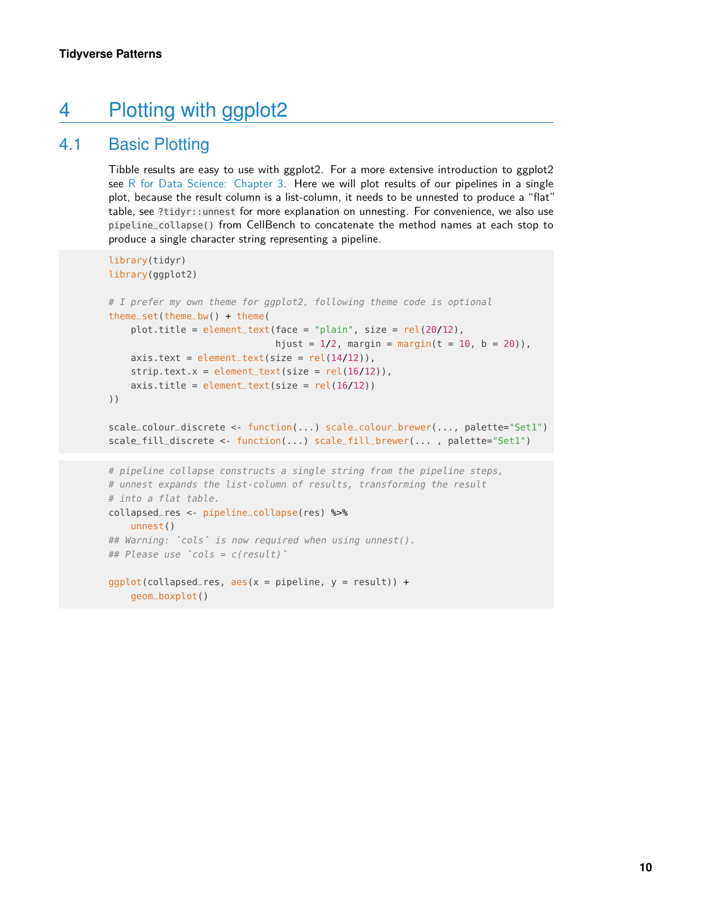# <span id="page-9-0"></span>4 Plotting with ggplot2

geom\_boxplot()

## 4.1 Basic Plotting

<span id="page-9-1"></span>Tibble results are easy to use with ggplot2. For a more extensive introduction to ggplot2 see [R for Data Science: Chapter 3.](https://r4ds.had.co.nz/data-visualisation.html) Here we will plot results of our pipelines in a single plot, because the result column is a list-column, it needs to be unnested to produce a "flat" table, see ?tidyr::unnest for more explanation on unnesting. For convenience, we also use pipeline\_collapse() from CellBench to concatenate the method names at each stop to produce a single character string representing a pipeline.

```
library(tidyr)
library(ggplot2)
# I prefer my own theme for ggplot2, following theme code is optional
theme_set(theme_bw() + theme(
    plot.title = element_text(face = "plain", size = rel(20/12),
                                   hjust = 1/2, margin = margin(t = 10, b = 20)),
    axis. text = element\_text(size = rel(14/12)),strip.text.x = element_test(size = rel(16/12)),axis.title = element_test(size = rel(16/12))))
scale_colour_discrete <- function(...) scale_colour_brewer(..., palette="Set1")
scale_fill_discrete <- function(...) scale_fill_brewer(... , palette="Set1")
# pipeline collapse constructs a single string from the pipeline steps,
# unnest expands the list-column of results, transforming the result
# into a flat table.
collapsed_res <- pipeline_collapse(res) %>%
    unnest()
# into a flat table.<br>collapsed_res <- pipeline_collapse(res) %>%<br>unnest()<br>## Warning: `cols` is now required when using unnest().
collapsed_res <- pipeline_collap<br>unnest()<br>## Warning: `cols` is now requir<br>## Please use `cols = c(result)`
ggplot(collapseed\_res, aes(x = pipeline, y = result)) +
```